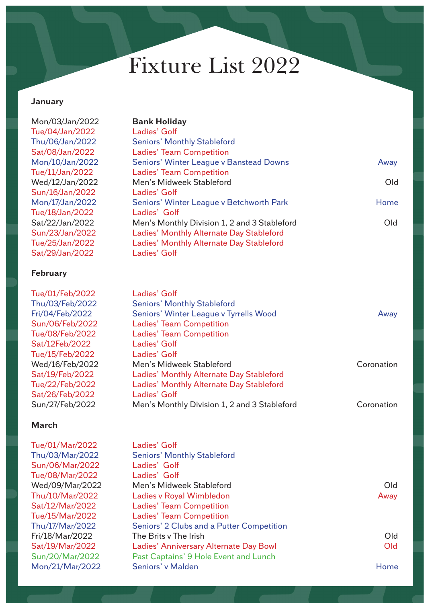### **January**

Mon/03/Jan/2022 **Bank Holiday** Tue/04/Jan/2022 Ladies' Golf Thu/06/Jan/2022 Seniors' Monthly Stableford Sat/08/Jan/2022 Ladies' Team Competition Mon/10/Jan/2022 Seniors' Winter League v Banstead Downs Away Tue/11/Jan/2022 Ladies' Team Competition Wed/12/Jan/2022 Men's Midweek Stableford Old Sun/16/Jan/2022 Ladies' Golf Mon/17/Jan/2022 Seniors' Winter League v Betchworth Park Franch Home Tue/18/Jan/2022 Ladies' Golf Sat/22/Jan/2022 Men's Monthly Division 1, 2 and 3 Stableford Old Sun/23/Jan/2022 Ladies' Monthly Alternate Day Stableford Tue/25/Jan/2022 Ladies' Monthly Alternate Day Stableford Sat/29/Jan/2022 Ladies' Golf

#### **February**

Tue/01/Feb/2022 Ladies' Golf Thu/03/Feb/2022 Seniors' Monthly Stableford Fri/04/Feb/2022 Seniors' Winter League v Tyrrells Wood Away Sun/06/Feb/2022 Ladies' Team Competition Tue/08/Feb/2022 Ladies' Team Competition Sat/12Feb/2022 Ladies' Golf Tue/15/Feb/2022 Ladies' Golf Wed/16/Feb/2022 Men's Midweek Stableford Coronation Sat/19/Feb/2022 Ladies' Monthly Alternate Day Stableford Tue/22/Feb/2022 Ladies' Monthly Alternate Day Stableford Sat/26/Feb/2022 Ladies' Golf Sun/27/Feb/2022 Men's Monthly Division 1, 2 and 3 Stableford Coronation

### **March**

Tue/01/Mar/2022 Ladies' Golf Thu/03/Mar/2022 Seniors' Monthly Stableford Sun/06/Mar/2022 Ladies' Golf Tue/08/Mar/2022 Ladies' Golf Wed/09/Mar/2022 Men's Midweek Stableford Old Thu/10/Mar/2022 Ladies v Royal Wimbledon Away Sat/12/Mar/2022 Ladies' Team Competition Tue/15/Mar/2022 Ladies' Team Competition Thu/17/Mar/2022 Seniors' 2 Clubs and a Putter Competition Fri/18/Mar/2022 The Brits v The Irish Cld Sat/19/Mar/2022 Ladies' Anniversary Alternate Day Bowl Old Sun/20/Mar/2022 Past Captains' 9 Hole Event and Lunch Mon/21/Mar/2022 Seniors' v Malden Home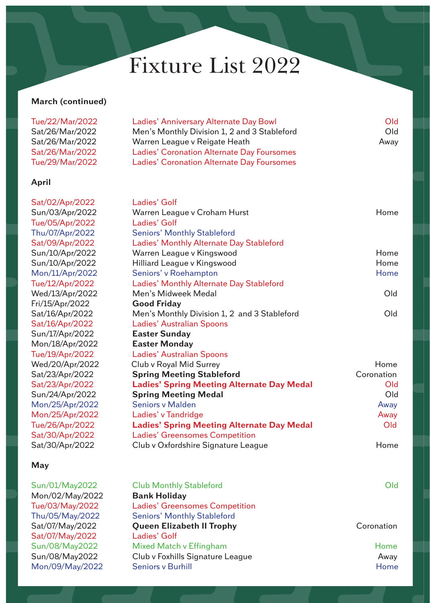### **March (continued)**

| Tue/22/Mar/2022 | Ladies' Anniversary Alternate Day Bowl            | Old  |
|-----------------|---------------------------------------------------|------|
| Sat/26/Mar/2022 | Men's Monthly Division 1, 2 and 3 Stableford      | Old  |
| Sat/26/Mar/2022 | Warren League v Reigate Heath                     | Away |
| Sat/26/Mar/2022 | <b>Ladies' Coronation Alternate Day Foursomes</b> |      |
| Tue/29/Mar/2022 | <b>Ladies' Coronation Alternate Day Foursomes</b> |      |
| April           |                                                   |      |

Sat/02/Apr/2022 Ladies' Golf Sun/03/Apr/2022 Warren League v Croham Hurst Home Tue/05/Apr/2022 Ladies' Golf Thu/07/Apr/2022 Seniors' Monthly Stableford Sat/09/Apr/2022 Ladies' Monthly Alternate Day Stableford Sun/10/Apr/2022 Warren League v Kingswood Home Sun/10/Apr/2022 Hilliard League v Kingswood Home Mon/11/Apr/2022 Seniors' v Roehampton Monetter Assembly Rome Tue/12/Apr/2022 Ladies' Monthly Alternate Day Stableford Wed/13/Apr/2022 Men's Midweek Medal Old Fri/15/Apr/2022 **Good Friday** Sat/16/Apr/2022 Men's Monthly Division 1, 2 and 3 Stableford Old Sat/16/Apr/2022 Ladies' Australian Spoons Sun/17/Apr/2022 **Easter Sunday** Mon/18/Apr/2022 **Easter Monday** Tue/19/Apr/2022 Ladies' Australian Spoons Wed/20/Apr/2022 Club v Royal Mid Surrey Network Control and Home Sat/23/Apr/2022 **Spring Meeting Stableford Coronation** Sat/23/Apr/2022 **Ladies' Spring Meeting Alternate Day Medal** Old Sun/24/Apr/2022 **Spring Meeting Medal** Old Mon/25/Apr/2022 Seniors v Malden Away Mon/25/Apr/2022 Ladies' v Tandridge Away Away Tue/26/Apr/2022 **Ladies' Spring Meeting Alternate Day Medal** Old Sat/30/Apr/2022 Ladies' Greensomes Competition Sat/30/Apr/2022 Club v Oxfordshire Signature League Home

### **May**

| Sun/01/May2022  | <b>Club Monthly Stableford</b>        | Old        |
|-----------------|---------------------------------------|------------|
| Mon/02/May/2022 | <b>Bank Holiday</b>                   |            |
| Tue/03/May/2022 | <b>Ladies' Greensomes Competition</b> |            |
| Thu/05/May/2022 | <b>Seniors' Monthly Stableford</b>    |            |
| Sat/07/May/2022 | <b>Queen Elizabeth II Trophy</b>      | Coronation |
| Sat/07/May/2022 | Ladies' Golf                          |            |
| Sun/08/May2022  | Mixed Match v Effingham               | Home       |
| Sun/08/May2022  | Club v Foxhills Signature League      | Away       |
| Mon/09/May/2022 | <b>Seniors v Burhill</b>              | Home       |
|                 |                                       |            |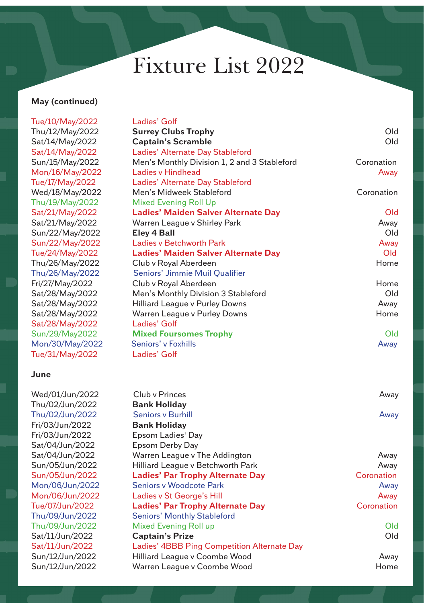## **May (continued)**

Tue/10/May/2022 Ladies' Golf Thu/12/May/2022  $Sat/14/Mav/2022$ Sat/14/May/2022 Sun/15/May/2022 Mon/16/May/2022 Tue/17/May/2022 Wed/18/May/2022 Thu/19/May/2022  $Sat/21/May/2022$ Sat/21/May/2022  $Sun/22/May/2022$ Sun/22/May/2022 Tue/24/May/2022 Thu/26/May/2022 Thu/26/May/2022 Fri/27/May/2022 Sat/28/May/2022 Sat/28/May/2022 Sat/28/May/2022 Sat/28/May/2022 Sun/29/May2022 Mon/30/May/2022 Tue/31/May/2022

#### **June**

Wed/01/Jun/2022 Thu/02/Jun/2022 **Bank Holiday** Thu/02/Jun/2022 Fri/03/Jun/2022 **Bank Holiday**  Fri/03/Jun/2022 Sat/04/Jun/2022 Sat/04/Jun/2022 Sun/05/Jun/2022 Sun/05/Jun/2022 Mon/06/Jun/2022 Mon/06/Jun/2022 Tue/07/Jun/2022 Thu/09/Jun/2022 Thu/09/Jun/2022 Sat/11/Jun/2022 Sat/11/Jun/2022 Sun/12/Jun/2022 Sun/12/Jun/2022

| <b>Surrey Clubs Trophy</b>                   | Old                |
|----------------------------------------------|--------------------|
| <b>Captain's Scramble</b>                    | Old                |
| Ladies' Alternate Day Stableford             |                    |
| Men's Monthly Division 1, 2 and 3 Stableford | Coronation         |
| <b>Ladies v Hindhead</b>                     | Away               |
| Ladies' Alternate Day Stableford             |                    |
| Men's Midweek Stableford                     | Coronation         |
| <b>Mixed Evening Roll Up</b>                 |                    |
| <b>Ladies' Maiden Salver Alternate Day</b>   | Old                |
| Warren League v Shirley Park                 | Away               |
| Eley 4 Ball                                  | Old                |
| <b>Ladies v Betchworth Park</b>              | Away               |
| <b>Ladies' Maiden Salver Alternate Day</b>   | Old                |
| Club v Royal Aberdeen                        | Home               |
| Seniors' Jimmie Muil Qualifier               |                    |
| Club v Royal Aberdeen                        | Home               |
| Men's Monthly Division 3 Stableford          | Old                |
| <b>Hilliard League v Purley Downs</b>        | Away               |
| Warren League v Purley Downs                 | Home               |
| Ladies' Golf                                 |                    |
| <b>Mixed Foursomes Trophy</b>                | Old                |
| Seniors' v Foxhills                          | Away               |
| Ladies' Golf                                 |                    |
|                                              |                    |
|                                              |                    |
|                                              |                    |
| Club v Princes                               | Away               |
| <b>Bank Holiday</b>                          |                    |
| <b>Seniors v Burhill</b>                     | Away               |
| <b>Bank Holiday</b>                          |                    |
| Epsom Ladies' Day                            |                    |
| <b>Epsom Derby Day</b>                       |                    |
| Warren League v The Addington                | Away               |
| Hilliard League v Betchworth Park            | Away<br>Coronation |
| <b>Ladies' Par Trophy Alternate Day</b>      |                    |
| <b>Seniors v Woodcote Park</b>               | Away               |
| Ladies v St George's Hill                    | Away               |
| <b>Ladies' Par Trophy Alternate Day</b>      | Coronation         |
| <b>Seniors' Monthly Stableford</b>           | Old                |
| <b>Mixed Evening Roll up</b>                 | Old                |
| <b>Captain's Prize</b>                       |                    |
| Ladies' 4BBB Ping Competition Alternate Day  |                    |
| Hilliard League v Coombe Wood                | Away<br>Home       |
| Warren League v Coombe Wood                  |                    |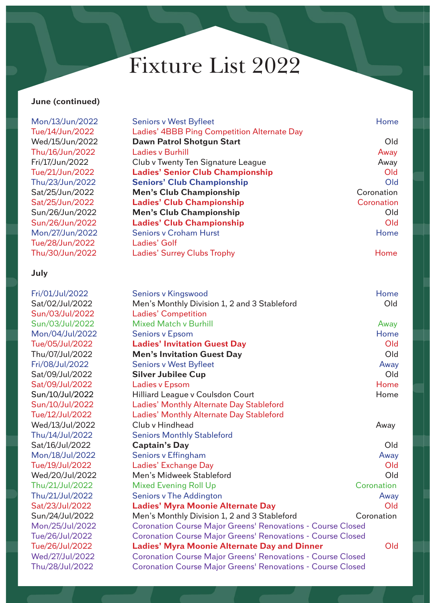## **June (continued)**

| Mon/13/Jun/2022 | <b>Seniors v West Byfleet</b>                                      | Home       |
|-----------------|--------------------------------------------------------------------|------------|
| Tue/14/Jun/2022 | Ladies' 4BBB Ping Competition Alternate Day                        |            |
| Wed/15/Jun/2022 | Dawn Patrol Shotgun Start                                          | Old        |
| Thu/16/Jun/2022 | <b>Ladies v Burhill</b>                                            | Away       |
| Fri/17/Jun/2022 | Club v Twenty Ten Signature League                                 | Away       |
| Tue/21/Jun/2022 | <b>Ladies' Senior Club Championship</b>                            | Old        |
| Thu/23/Jun/2022 | <b>Seniors' Club Championship</b>                                  | Old        |
| Sat/25/Jun/2022 | <b>Men's Club Championship</b>                                     | Coronation |
| Sat/25/Jun/2022 | <b>Ladies' Club Championship</b>                                   | Coronation |
| Sun/26/Jun/2022 | <b>Men's Club Championship</b>                                     | Old        |
| Sun/26/Jun/2022 | <b>Ladies' Club Championship</b>                                   | Old        |
| Mon/27/Jun/2022 | <b>Seniors v Croham Hurst</b>                                      | Home       |
| Tue/28/Jun/2022 | Ladies' Golf                                                       |            |
| Thu/30/Jun/2022 | <b>Ladies' Surrey Clubs Trophy</b>                                 | Home       |
| July            |                                                                    |            |
| Fri/01/Jul/2022 | <b>Seniors v Kingswood</b>                                         | Home       |
| Sat/02/Jul/2022 | Men's Monthly Division 1, 2 and 3 Stableford                       | Old        |
| Sun/03/Jul/2022 | <b>Ladies' Competition</b>                                         |            |
| Sun/03/Jul/2022 | <b>Mixed Match v Burhill</b>                                       | Away       |
| Mon/04/Jul/2022 | <b>Seniors v Epsom</b>                                             | Home       |
| Tue/05/Jul/2022 | <b>Ladies' Invitation Guest Day</b>                                | Old        |
| Thu/07/Jul/2022 | <b>Men's Invitation Guest Day</b>                                  | Old        |
| Fri/08/Jul/2022 | <b>Seniors v West Byfleet</b>                                      | Away       |
| Sat/09/Jul/2022 | <b>Silver Jubilee Cup</b>                                          | Old        |
| Sat/09/Jul/2022 | <b>Ladies v Epsom</b>                                              | Home       |
| Sun/10/Jul/2022 | Hilliard League v Coulsdon Court                                   | Home       |
| Sun/10/Jul/2022 | Ladies' Monthly Alternate Day Stableford                           |            |
| Tue/12/Jul/2022 | Ladies' Monthly Alternate Day Stableford                           |            |
| Wed/13/Jul/2022 | Club v Hindhead                                                    | Away       |
| Thu/14/Jul/2022 | <b>Seniors Monthly Stableford</b>                                  |            |
| Sat/16/Jul/2022 | <b>Captain's Day</b>                                               | Old        |
| Mon/18/Jul/2022 | <b>Seniors v Effingham</b>                                         | Away       |
| Tue/19/Jul/2022 | Ladies' Exchange Day                                               | Old        |
| Wed/20/Jul/2022 | Men's Midweek Stableford                                           | Old        |
| Thu/21/Jul/2022 | <b>Mixed Evening Roll Up</b>                                       | Coronation |
| Thu/21/Jul/2022 | <b>Seniors v The Addington</b>                                     | Away       |
| Sat/23/Jul/2022 | <b>Ladies' Myra Moonie Alternate Day</b>                           | Old        |
| Sun/24/Jul/2022 | Men's Monthly Division 1, 2 and 3 Stableford                       | Coronation |
| Mon/25/Jul/2022 | <b>Coronation Course Major Greens' Renovations - Course Closed</b> |            |
| Tue/26/Jul/2022 | <b>Coronation Course Major Greens' Renovations - Course Closed</b> |            |
| Tue/26/Jul/2022 | <b>Ladies' Myra Moonie Alternate Day and Dinner</b>                | Old        |
| Wed/27/Jul/2022 | <b>Coronation Course Major Greens' Renovations - Course Closed</b> |            |
| Thu/28/Jul/2022 | <b>Coronation Course Major Greens' Renovations - Course Closed</b> |            |
|                 |                                                                    |            |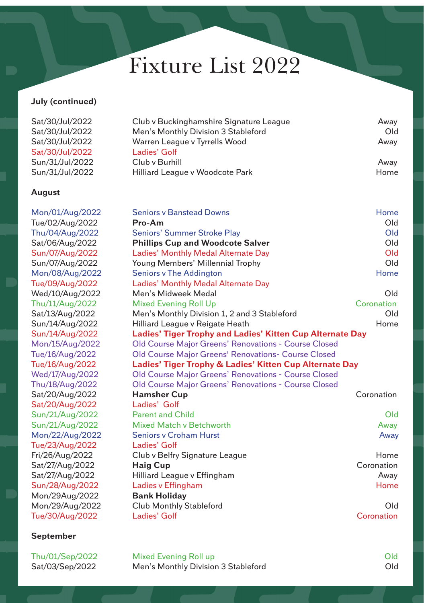## **July (continued)**

| Sat/30/Jul/2022 | Club v Buckinghamshire Signature League | Away |
|-----------------|-----------------------------------------|------|
| Sat/30/Jul/2022 | Men's Monthly Division 3 Stableford     | Old  |
| Sat/30/Jul/2022 | Warren League v Tyrrells Wood           | Away |
| Sat/30/Jul/2022 | Ladies' Golf                            |      |
| Sun/31/Jul/2022 | Club y Burhill                          | Away |
| Sun/31/Jul/2022 | Hilliard League v Woodcote Park         | Home |

### **August**

| <b>Seniors v Banstead Downs</b>                                  | Home                                                    |
|------------------------------------------------------------------|---------------------------------------------------------|
| Pro-Am                                                           | Old                                                     |
| <b>Seniors' Summer Stroke Play</b>                               | Old                                                     |
| <b>Phillips Cup and Woodcote Salver</b>                          | Old                                                     |
| Ladies' Monthly Medal Alternate Day                              | Old                                                     |
| Young Members' Millennial Trophy                                 | Old                                                     |
| <b>Seniors v The Addington</b>                                   | Home                                                    |
| Ladies' Monthly Medal Alternate Day                              |                                                         |
| Men's Midweek Medal                                              | Old                                                     |
| <b>Mixed Evening Roll Up</b>                                     | Coronation                                              |
| Men's Monthly Division 1, 2 and 3 Stableford                     | Old                                                     |
| Hilliard League v Reigate Heath                                  | Home                                                    |
| <b>Ladies' Tiger Trophy and Ladies' Kitten Cup Alternate Day</b> |                                                         |
| <b>Old Course Major Greens' Renovations - Course Closed</b>      |                                                         |
| <b>Old Course Major Greens' Renovations- Course Closed</b>       |                                                         |
|                                                                  |                                                         |
| Old Course Major Greens' Renovations - Course Closed             |                                                         |
| <b>Old Course Major Greens' Renovations - Course Closed</b>      |                                                         |
| <b>Hamsher Cup</b>                                               | Coronation                                              |
| Ladies' Golf                                                     |                                                         |
| <b>Parent and Child</b>                                          | Old                                                     |
| <b>Mixed Match v Betchworth</b>                                  | Away                                                    |
| <b>Seniors v Croham Hurst</b>                                    | Away                                                    |
| Ladies' Golf                                                     |                                                         |
| Club v Belfry Signature League                                   | Home                                                    |
| <b>Haig Cup</b>                                                  | Coronation                                              |
| Hilliard League v Effingham                                      | Away                                                    |
| Ladies v Effingham                                               | Home                                                    |
| <b>Bank Holiday</b>                                              |                                                         |
| <b>Club Monthly Stableford</b>                                   | Old                                                     |
| Ladies' Golf                                                     | Coronation                                              |
|                                                                  | Ladies' Tiger Trophy & Ladies' Kitten Cup Alternate Day |

### **September**

Thu/01/Sep/2022 Mixed Evening Roll up **Old** Sat/03/Sep/2022 Men's Monthly Division 3 Stableford Cld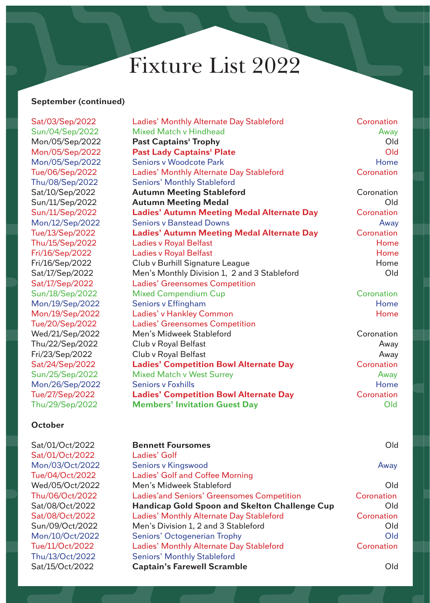### **September (continued)**

Sat/03/Sep/2022 Sun/04/Sep/2022  $Mon/05/Sep/2022$  $Mon/05/Sep/2022$ Mon/05/Sep/2022 Tue/06/Sep/2022 Thu/08/Sep/2022  $Sat/10/Sep/2022$  $Sun/11/Sep/2022$ Sun/11/Sep/2022 Mon/12/Sep/2022 Tue/13/Sep/2022 Thu/15/Sep/2022 Fri/16/Sep/2022 Fri/16/Sep/2022 Sat/17/Sep/2022 Sat/17/Sep/2022 Sun/18/Sep/2022 Mon/19/Sep/2022 Mon/19/Sep/2022 Tue/20/Sep/2022 Wed/21/Sep/2022 Thu/22/Sep/2022 Fri/23/Sep/2022  $Sat/24/Sep/2022$ Sun/25/Sep/2022 Mon/26/Sep/2022 Tue/27/Sep/2022 **Ladies' Competition Bowl Alternate Day** Coronation Thu/29/Sep/2022 **Members' Invitation Guest Day** Old

### **October**

Sat/01/Oct/2022 Ladies' Golf

| Ladies' Monthly Alternate Day Stableford          | Coronation |
|---------------------------------------------------|------------|
| <b>Mixed Match v Hindhead</b>                     | Away       |
| <b>Past Captains' Trophy</b>                      | Old        |
| <b>Past Lady Captains' Plate</b>                  | Old        |
| <b>Seniors v Woodcote Park</b>                    | Home       |
| Ladies' Monthly Alternate Day Stableford          | Coronation |
| <b>Seniors' Monthly Stableford</b>                |            |
| <b>Autumn Meeting Stableford</b>                  | Coronation |
| <b>Autumn Meeting Medal</b>                       | Old        |
| <b>Ladies' Autumn Meeting Medal Alternate Day</b> | Coronation |
| <b>Seniors v Banstead Downs</b>                   | Away       |
| <b>Ladies' Autumn Meeting Medal Alternate Day</b> | Coronation |
| <b>Ladies v Royal Belfast</b>                     | Home       |
| <b>Ladies v Royal Belfast</b>                     | Home       |
| Club v Burhill Signature League                   | Home       |
| Men's Monthly Division 1, 2 and 3 Stableford      | Old        |
| <b>Ladies' Greensomes Competition</b>             |            |
| <b>Mixed Compendium Cup</b>                       | Coronation |
| Seniors v Effingham                               | Home       |
| Ladies' v Hankley Common                          | Home       |
| <b>Ladies' Greensomes Competition</b>             |            |
| Men's Midweek Stableford                          | Coronation |
| Club v Royal Belfast                              | Away       |
| Club v Royal Belfast                              | Away       |
| <b>Ladies' Competition Bowl Alternate Day</b>     | Coronation |
| <b>Mixed Match v West Surrey</b>                  | Away       |
| <b>Seniors v Foxhills</b>                         | Home       |
| <b>Ladies' Competition Bowl Alternate Day</b>     | Coronation |
| <b>Members' Invitation Guest Day</b>              | Old        |
|                                                   |            |

## Sat/01/Oct/2022 **Bennett Foursomes** Old Mon/03/Oct/2022 Seniors v Kingswood Away Tue/04/Oct/2022 Ladies' Golf and Coffee Morning Wed/05/Oct/2022 Men's Midweek Stableford Old Thu/06/Oct/2022 Ladies'and Seniors' Greensomes Competition Coronation Sat/08/Oct/2022 **Handicap Gold Spoon and Skelton Challenge Cup** Old Sat/08/Oct/2022 Ladies' Monthly Alternate Day Stableford Coronation Sun/09/Oct/2022 Men's Division 1, 2 and 3 Stableford Cld Mon/10/Oct/2022 Seniors' Octogenerian Trophy Old Tue/11/Oct/2022 Ladies' Monthly Alternate Day Stableford Coronation Thu/13/Oct/2022 Seniors' Monthly Stableford Sat/15/Oct/2022 **Captain's Farewell Scramble** Old